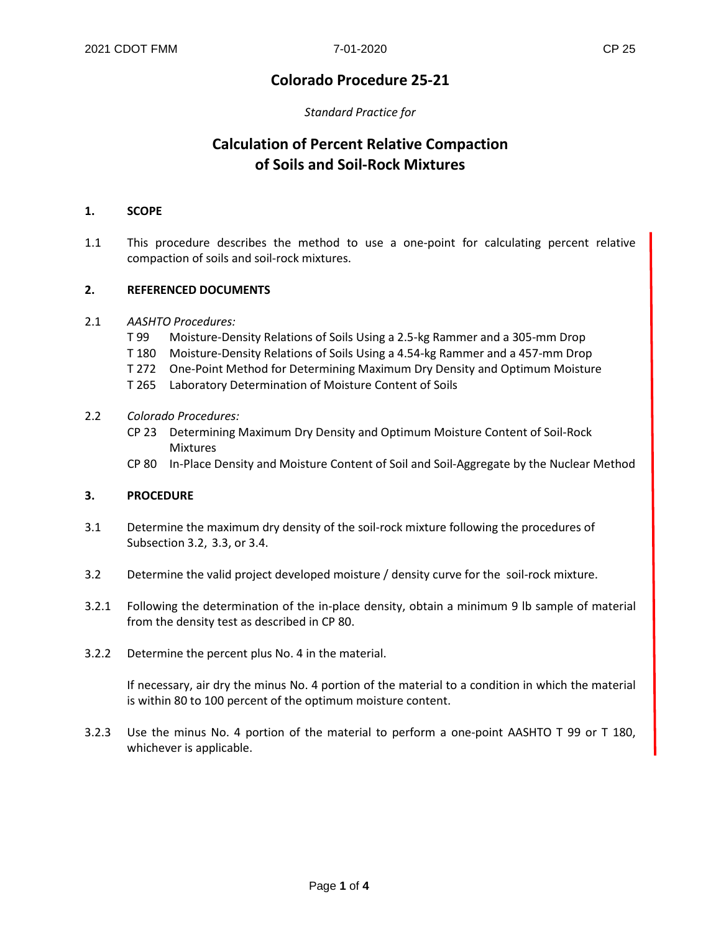## **Colorado Procedure 25-21**

## *Standard Practice for*

# **Calculation of Percent Relative Compaction of Soils and Soil-Rock Mixtures**

#### **1. SCOPE**

1.1 This procedure describes the method to use a one-point for calculating percent relative compaction of soils and soil-rock mixtures.

## **2. REFERENCED DOCUMENTS**

#### 2.1 *AASHTO Procedures:*

- T 99 Moisture-Density Relations of Soils Using a 2.5-kg Rammer and a 305-mm Drop
- T 180 Moisture-Density Relations of Soils Using a 4.54-kg Rammer and a 457-mm Drop
- T 272 One-Point Method for Determining Maximum Dry Density and Optimum Moisture
- T 265 Laboratory Determination of Moisture Content of Soils

#### 2.2 *Colorado Procedures:*

- CP 23 Determining Maximum Dry Density and Optimum Moisture Content of Soil-Rock Mixtures
- CP 80 In-Place Density and Moisture Content of Soil and Soil-Aggregate by the Nuclear Method

## **3. PROCEDURE**

- 3.1 Determine the maximum dry density of the soil-rock mixture following the procedures of Subsection 3.2, 3.3, or 3.4.
- 3.2 Determine the valid project developed moisture / density curve for the soil-rock mixture.
- 3.2.1 Following the determination of the in-place density, obtain a minimum 9 lb sample of material from the density test as described in CP 80.
- 3.2.2 Determine the percent plus No. 4 in the material.

If necessary, air dry the minus No. 4 portion of the material to a condition in which the material is within 80 to 100 percent of the optimum moisture content.

3.2.3 Use the minus No. 4 portion of the material to perform a one-point AASHTO T 99 or T 180, whichever is applicable.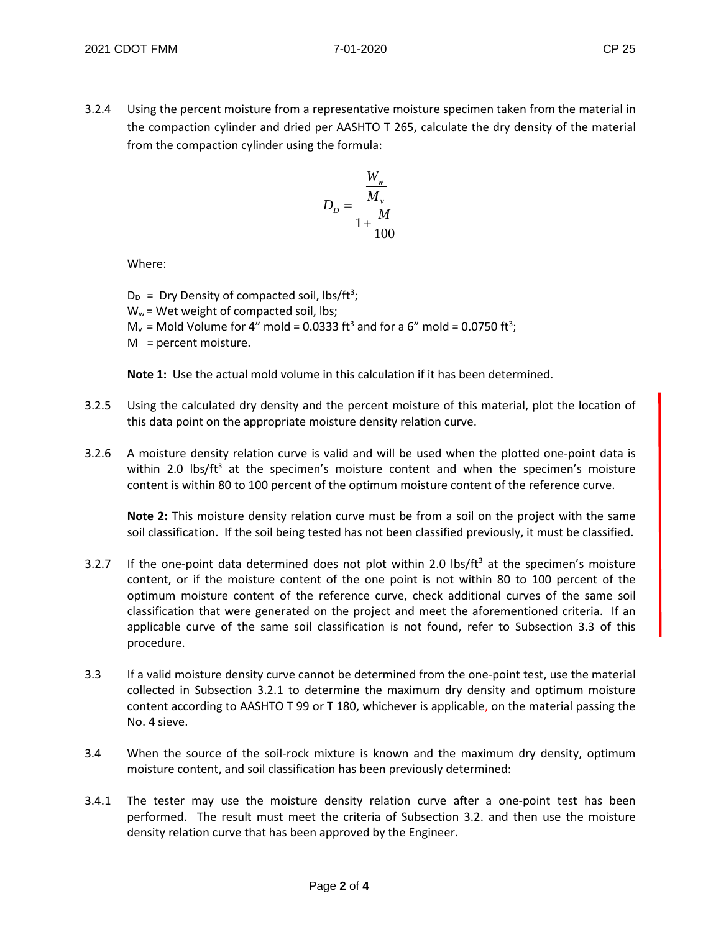3.2.4 Using the percent moisture from a representative moisture specimen taken from the material in the compaction cylinder and dried per AASHTO T 265, calculate the dry density of the material from the compaction cylinder using the formula:

$$
D_D = \frac{\frac{W_w}{M_v}}{1 + \frac{M}{100}}
$$

Where:

 $D_D$  = Dry Density of compacted soil, lbs/ft<sup>3</sup>;  $W_w$  = Wet weight of compacted soil, lbs;  $M_v$  = Mold Volume for 4" mold = 0.0333 ft<sup>3</sup> and for a 6" mold = 0.0750 ft<sup>3</sup>; M = percent moisture.

**Note 1:** Use the actual mold volume in this calculation if it has been determined.

- 3.2.5 Using the calculated dry density and the percent moisture of this material, plot the location of this data point on the appropriate moisture density relation curve.
- 3.2.6 A moisture density relation curve is valid and will be used when the plotted one-point data is within 2.0 lbs/ft<sup>3</sup> at the specimen's moisture content and when the specimen's moisture content is within 80 to 100 percent of the optimum moisture content of the reference curve.

**Note 2:** This moisture density relation curve must be from a soil on the project with the same soil classification. If the soil being tested has not been classified previously, it must be classified.

- 3.2.7 If the one-point data determined does not plot within 2.0 lbs/ $ft<sup>3</sup>$  at the specimen's moisture content, or if the moisture content of the one point is not within 80 to 100 percent of the optimum moisture content of the reference curve, check additional curves of the same soil classification that were generated on the project and meet the aforementioned criteria. If an applicable curve of the same soil classification is not found, refer to Subsection 3.3 of this procedure.
- 3.3 If a valid moisture density curve cannot be determined from the one-point test, use the material collected in Subsection 3.2.1 to determine the maximum dry density and optimum moisture content according to AASHTO T 99 or T 180, whichever is applicable, on the material passing the No. 4 sieve.
- 3.4 When the source of the soil-rock mixture is known and the maximum dry density, optimum moisture content, and soil classification has been previously determined:
- 3.4.1 The tester may use the moisture density relation curve after a one-point test has been performed. The result must meet the criteria of Subsection 3.2. and then use the moisture density relation curve that has been approved by the Engineer.